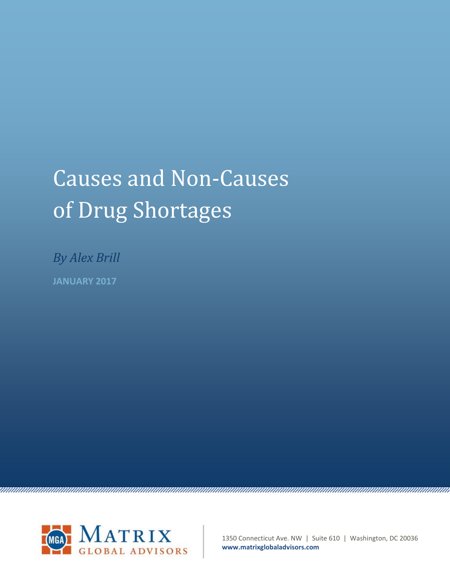## Causes and Non-Causes of Drug Shortages

*By Alex Brill* **JANUARY 2017**



1350 Connecticut Ave. NW | Suite 610 | Washington, DC 20036 **www.matrixglobaladvisors.com**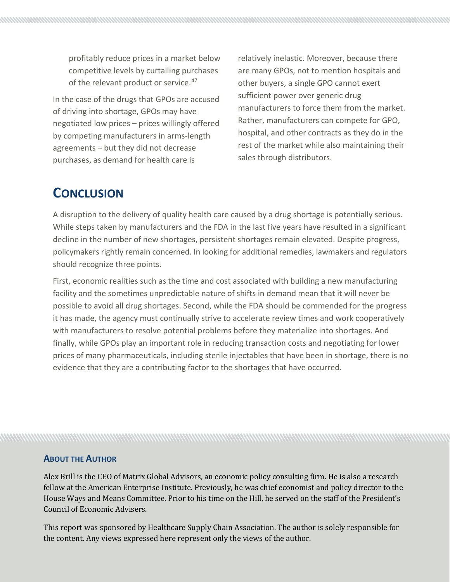profitably reduce prices in a market below competitive levels by curtailing purchases of the relevant product or service.<sup>[47](#page-11-0)</sup>

In the case of the drugs that GPOs are accused of driving into shortage, GPOs may have negotiated low prices – prices willingly offered by competing manufacturers in arms-length agreements – but they did not decrease purchases, as demand for health care is

relatively inelastic. Moreover, because there are many GPOs, not to mention hospitals and other buyers, a single GPO cannot exert sufficient power over generic drug manufacturers to force them from the market. Rather, manufacturers can compete for GPO, hospital, and other contracts as they do in the rest of the market while also maintaining their sales through distributors.

## **CONCLUSION**

A disruption to the delivery of quality health care caused by a drug shortage is potentially serious. While steps taken by manufacturers and the FDA in the last five years have resulted in a significant decline in the number of new shortages, persistent shortages remain elevated. Despite progress, policymakers rightly remain concerned. In looking for additional remedies, lawmakers and regulators should recognize three points.

First, economic realities such as the time and cost associated with building a new manufacturing facility and the sometimes unpredictable nature of shifts in demand mean that it will never be possible to avoid all drug shortages. Second, while the FDA should be commended for the progress it has made, the agency must continually strive to accelerate review times and work cooperatively with manufacturers to resolve potential problems before they materialize into shortages. And finally, while GPOs play an important role in reducing transaction costs and negotiating for lower prices of many pharmaceuticals, including sterile injectables that have been in shortage, there is no evidence that they are a contributing factor to the shortages that have occurred.

## **ABOUT THE AUTHOR**

Alex Brill is the CEO of Matrix Global Advisors, an economic policy consulting firm. He is also a research fellow at the American Enterprise Institute. Previously, he was chief economist and policy director to the House Ways and Means Committee. Prior to his time on the Hill, he served on the staff of the President's Council of Economic Advisers.

This report was sponsored by Healthcare Supply Chain Association. The author is solely responsible for the content. Any views expressed here represent only the views of the author.